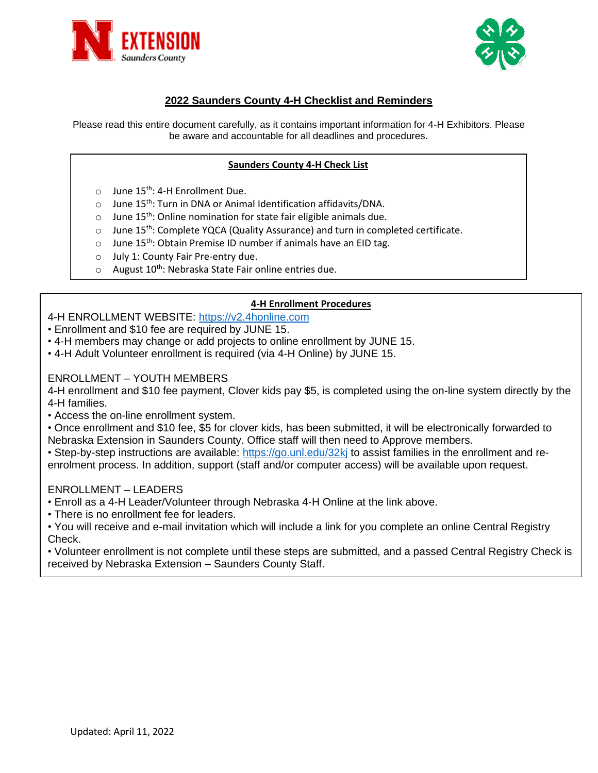



# **2022 Saunders County 4-H Checklist and Reminders**

Please read this entire document carefully, as it contains important information for 4-H Exhibitors. Please be aware and accountable for all deadlines and procedures.

#### **Saunders County 4-H Check List**

- $\circ$  June 15<sup>th</sup>: 4-H Enrollment Due.
- $\circ$  June 15<sup>th</sup>: Turn in DNA or Animal Identification affidavits/DNA.
- $\circ$  June 15<sup>th</sup>: Online nomination for state fair eligible animals due.
- o June 15<sup>th</sup>: Complete YQCA (Quality Assurance) and turn in completed certificate.
- $\circ$  June 15<sup>th</sup>: Obtain Premise ID number if animals have an EID tag.
- o July 1: County Fair Pre-entry due.
- $\circ$  August 10<sup>th</sup>: Nebraska State Fair online entries due.

#### **4-H Enrollment Procedures**

4-H ENROLLMENT WEBSITE: [https://v2.4honline.com](https://v2.4honline.com/)

- Enrollment and \$10 fee are required by JUNE 15.
- 4-H members may change or add projects to online enrollment by JUNE 15.
- 4-H Adult Volunteer enrollment is required (via 4-H Online) by JUNE 15.

# ENROLLMENT – YOUTH MEMBERS

4-H enrollment and \$10 fee payment, Clover kids pay \$5, is completed using the on-line system directly by the 4-H families.

- Access the on-line enrollment system.
- Once enrollment and \$10 fee, \$5 for clover kids, has been submitted, it will be electronically forwarded to Nebraska Extension in Saunders County. Office staff will then need to Approve members.
- Step-by-step instructions are available:<https://go.unl.edu/32kj> to assist families in the enrollment and reenrolment process. In addition, support (staff and/or computer access) will be available upon request.

### ENROLLMENT – LEADERS

- Enroll as a 4-H Leader/Volunteer through Nebraska 4-H Online at the link above.
- There is no enrollment fee for leaders.
- You will receive and e-mail invitation which will include a link for you complete an online Central Registry Check.

• Volunteer enrollment is not complete until these steps are submitted, and a passed Central Registry Check is received by Nebraska Extension – Saunders County Staff.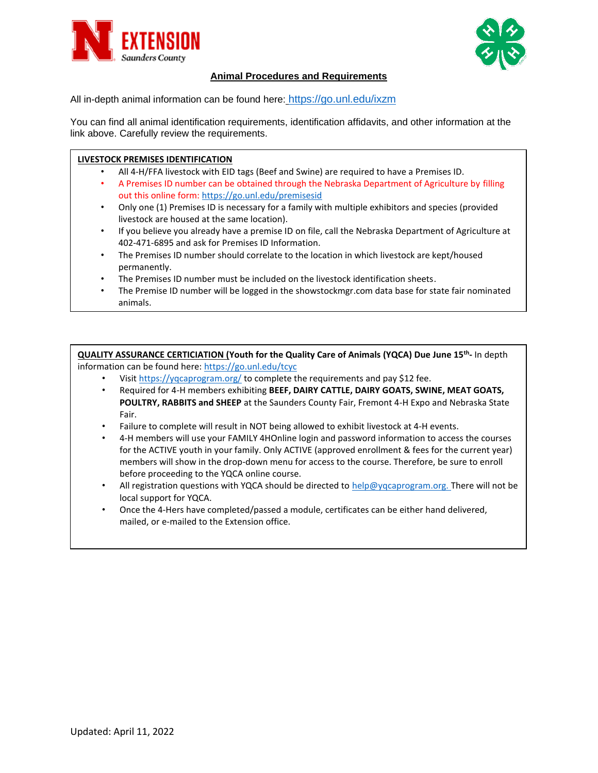



#### **Animal Procedures and Requirements**

All in-depth animal information can be found here: <https://go.unl.edu/ixzm>

You can find all animal identification requirements, identification affidavits, and other information at the link above. Carefully review the requirements.

#### **LIVESTOCK PREMISES IDENTIFICATION**

- All 4-H/FFA livestock with EID tags (Beef and Swine) are required to have a Premises ID.
- A Premises ID number can be obtained through the Nebraska Department of Agriculture by filling out this online form:<https://go.unl.edu/premisesid>
- Only one (1) Premises ID is necessary for a family with multiple exhibitors and species (provided livestock are housed at the same location).
- If you believe you already have a premise ID on file, call the Nebraska Department of Agriculture at 402-471-6895 and ask for Premises ID Information.
- The Premises ID number should correlate to the location in which livestock are kept/housed permanently.
- The Premises ID number must be included on the livestock identification sheets.
- The Premise ID number will be logged in the showstockmgr.com data base for state fair nominated animals.

**QUALITY ASSURANCE CERTICIATION (Youth for the Quality Care of Animals (YQCA) Due June 15th -** In depth information can be found here:<https://go.unl.edu/tcyc>

- Visi[t https://yqcaprogram.org/](https://yqcaprogram.org/) to complete the requirements and pay \$12 fee.
- Required for 4-H members exhibiting **BEEF, DAIRY CATTLE, DAIRY GOATS, SWINE, MEAT GOATS, POULTRY, RABBITS and SHEEP** at the Saunders County Fair, Fremont 4-H Expo and Nebraska State Fair.
- Failure to complete will result in NOT being allowed to exhibit livestock at 4-H events.
- 4-H members will use your FAMILY 4HOnline login and password information to access the courses for the ACTIVE youth in your family. Only ACTIVE (approved enrollment & fees for the current year) members will show in the drop-down menu for access to the course. Therefore, be sure to enroll before proceeding to the YQCA online course.
- All registration questions with YQCA should be directed t[o help@yqcaprogram.org. T](mailto:help@yqcaprogram.org.)here will not be local support for YQCA.
- Once the 4-Hers have completed/passed a module, certificates can be either hand delivered, mailed, or e-mailed to the Extension office.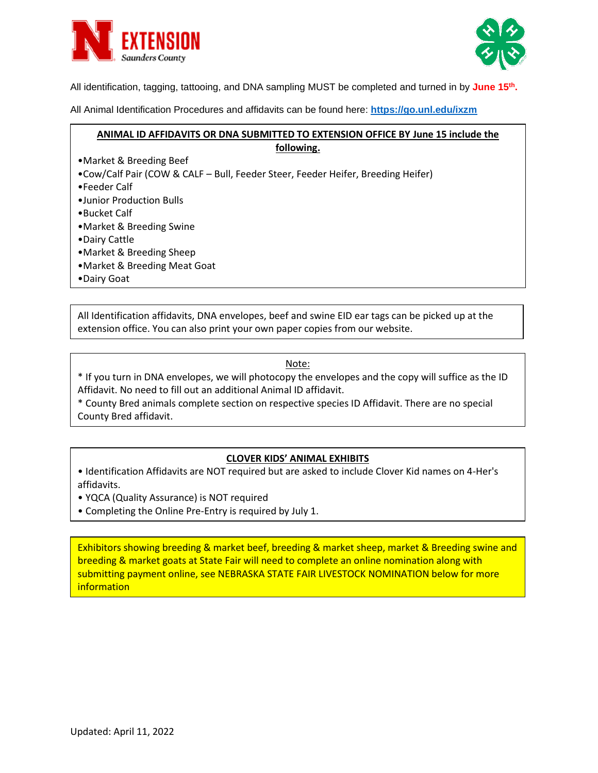



All identification, tagging, tattooing, and DNA sampling MUST be completed and turned in by **June 15th .**

All Animal Identification Procedures and affidavits can be found here: **<https://go.unl.edu/ixzm>**

### **ANIMAL ID AFFIDAVITS OR DNA SUBMITTED TO EXTENSION OFFICE BY June 15 include the following.**

- •Market & Breeding Beef
- •Cow/Calf Pair (COW & CALF Bull, Feeder Steer, Feeder Heifer, Breeding Heifer)
- •Feeder Calf
- •Junior Production Bulls
- •Bucket Calf
- •Market & Breeding Swine
- •Dairy Cattle
- •Market & Breeding Sheep
- •Market & Breeding Meat Goat
- •Dairy Goat

•Rabbit

All Identification affidavits, DNA envelopes, beef and swine EID ear tags can be picked up at the extension office. You can also print your own paper copies from our website.

### Note:

\* If you turn in DNA envelopes, we will photocopy the envelopes and the copy will suffice as the ID Affidavit. No need to fill out an additional Animal ID affidavit.

\* County Bred animals complete section on respective species ID Affidavit. There are no special County Bred affidavit.

### **CLOVER KIDS' ANIMAL EXHIBITS**

• Identification Affidavits are NOT required but are asked to include Clover Kid names on 4-Her's affidavits.

- YQCA (Quality Assurance) is NOT required
- Completing the Online Pre-Entry is required by July 1.

Exhibitors showing breeding & market beef, breeding & market sheep, market & Breeding swine and breeding & market goats at State Fair will need to complete an online nomination along with submitting payment online, see NEBRASKA STATE FAIR LIVESTOCK NOMINATION below for more **information**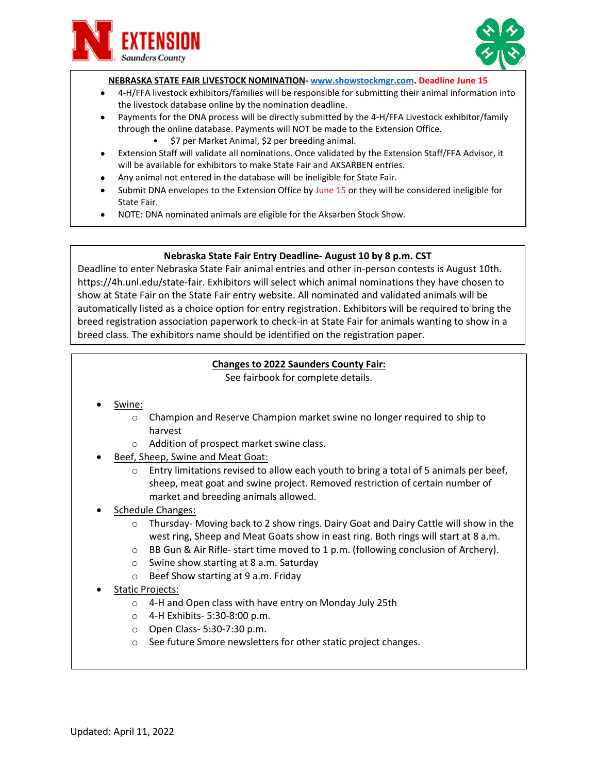



#### **NEBRASKA STATE FAIR LIVESTOCK NOMINATION- [www.showstockmgr.com.](http://www.showstockmgr.com/) Deadline June 15**

- 4-H/FFA livestock exhibitors/families will be responsible for submitting their animal information into the livestock database online by the nomination deadline.
- Payments for the DNA process will be directly submitted by the 4-H/FFA Livestock exhibitor/family through the online database. Payments will NOT be made to the Extension Office.
	- \$7 per Market Animal, \$2 per breeding animal.
- Extension Staff will validate all nominations. Once validated by the Extension Staff/FFA Advisor, it will be available for exhibitors to make State Fair and AKSARBEN entries.
- Any animal not entered in the database will be ineligible for State Fair.
- Submit DNA envelopes to the Extension Office by June 15 or they will be considered ineligible for State Fair.
- NOTE: DNA nominated animals are eligible for the Aksarben Stock Show.

### **Nebraska State Fair Entry Deadline- August 10 by 8 p.m. CST**

Deadline to enter Nebraska State Fair animal entries and other in-person contests is August 10th. https://4h.unl.edu/state-fair. Exhibitors will select which animal nominations they have chosen to show at State Fair on the State Fair entry website. All nominated and validated animals will be automatically listed as a choice option for entry registration. Exhibitors will be required to bring the breed registration association paperwork to check-in at State Fair for animals wanting to show in a breed class. The exhibitors name should be identified on the registration paper.

# **Changes to 2022 Saunders County Fair:**

See fairbook for complete details.

- Swine:
	- o Champion and Reserve Champion market swine no longer required to ship to harvest
	- o Addition of prospect market swine class.
- Beef, Sheep, Swine and Meat Goat:
	- $\circ$  Entry limitations revised to allow each youth to bring a total of 5 animals per beef, sheep, meat goat and swine project. Removed restriction of certain number of market and breeding animals allowed.
- Schedule Changes:
	- o Thursday- Moving back to 2 show rings. Dairy Goat and Dairy Cattle will show in the west ring, Sheep and Meat Goats show in east ring. Both rings will start at 8 a.m.
	- $\circ$  BB Gun & Air Rifle- start time moved to 1 p.m. (following conclusion of Archery).
	- o Swine show starting at 8 a.m. Saturday
	- o Beef Show starting at 9 a.m. Friday
- Static Projects:
	- o 4-H and Open class with have entry on Monday July 25th
	- o 4-H Exhibits- 5:30-8:00 p.m.
	- o Open Class- 5:30-7:30 p.m.
	- o See future Smore newsletters for other static project changes.